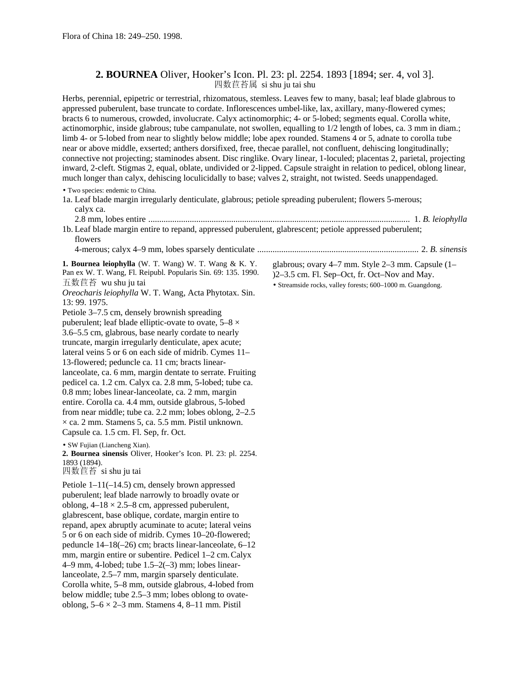oblong,  $5-6 \times 2-3$  mm. Stamens 4, 8-11 mm. Pistil

## **2. BOURNEA** Oliver, Hooker's Icon. Pl. 23: pl. 2254. 1893 [1894; ser. 4, vol 3]. 四数苣苔属 si shu ju tai shu

Herbs, perennial, epipetric or terrestrial, rhizomatous, stemless. Leaves few to many, basal; leaf blade glabrous to appressed puberulent, base truncate to cordate. Inflorescences umbel-like, lax, axillary, many-flowered cymes; bracts 6 to numerous, crowded, involucrate. Calyx actinomorphic; 4- or 5-lobed; segments equal. Corolla white, actinomorphic, inside glabrous; tube campanulate, not swollen, equalling to 1/2 length of lobes, ca. 3 mm in diam.; limb 4- or 5-lobed from near to slightly below middle; lobe apex rounded. Stamens 4 or 5, adnate to corolla tube near or above middle, exserted; anthers dorsifixed, free, thecae parallel, not confluent, dehiscing longitudinally; connective not projecting; staminodes absent. Disc ringlike. Ovary linear, 1-loculed; placentas 2, parietal, projecting inward, 2-cleft. Stigmas 2, equal, oblate, undivided or 2-lipped. Capsule straight in relation to pedicel, oblong linear, much longer than calyx, dehiscing loculicidally to base; valves 2, straight, not twisted. Seeds unappendaged.

• Two species: endemic to China. 1a. Leaf blade margin irregularly denticulate, glabrous; petiole spreading puberulent; flowers 5-merous; calyx ca. 2.8 mm, lobes entire ........................................................................................................................ 1. *B. leiophylla* 1b. Leaf blade margin entire to repand, appressed puberulent, glabrescent; petiole appressed puberulent; flowers 4-merous; calyx 4–9 mm, lobes sparsely denticulate .......................................................................... 2. *B. sinensis* **1. Bournea leiophylla** (W. T. Wang) W. T. Wang & K. Y. Pan ex W. T. Wang, Fl. Reipubl. Popularis Sin. 69: 135. 1990. 五数苣苔 wu shu ju tai *Oreocharis leiophylla* W. T. Wang, Acta Phytotax. Sin. 13: 99. 1975. Petiole 3–7.5 cm, densely brownish spreading puberulent; leaf blade elliptic-ovate to ovate,  $5-8 \times$ 3.6–5.5 cm, glabrous, base nearly cordate to nearly truncate, margin irregularly denticulate, apex acute; lateral veins 5 or 6 on each side of midrib. Cymes 11– 13-flowered; peduncle ca. 11 cm; bracts linearlanceolate, ca. 6 mm, margin dentate to serrate. Fruiting pedicel ca. 1.2 cm. Calyx ca. 2.8 mm, 5-lobed; tube ca. 0.8 mm; lobes linear-lanceolate, ca. 2 mm, margin entire. Corolla ca. 4.4 mm, outside glabrous, 5-lobed from near middle; tube ca. 2.2 mm; lobes oblong, 2–2.5  $\times$  ca. 2 mm. Stamens 5, ca. 5.5 mm. Pistil unknown. Capsule ca. 1.5 cm. Fl. Sep, fr. Oct. • SW Fujian (Liancheng Xian). **2. Bournea sinensis** Oliver, Hooker's Icon. Pl. 23: pl. 2254. 1893 (1894). 四数苣苔 si shu ju tai Petiole 1–11(–14.5) cm, densely brown appressed puberulent; leaf blade narrowly to broadly ovate or oblong,  $4-18 \times 2.5-8$  cm, appressed puberulent, glabrescent, base oblique, cordate, margin entire to repand, apex abruptly acuminate to acute; lateral veins 5 or 6 on each side of midrib. Cymes 10–20-flowered; peduncle 14–18(–26) cm; bracts linear-lanceolate, 6–12 mm, margin entire or subentire. Pedicel 1–2 cm. Calyx 4–9 mm, 4-lobed; tube 1.5–2(–3) mm; lobes linearlanceolate, 2.5–7 mm, margin sparsely denticulate. Corolla white, 5–8 mm, outside glabrous, 4-lobed from below middle; tube 2.5–3 mm; lobes oblong to ovateglabrous; ovary 4–7 mm. Style 2–3 mm. Capsule (1– )2–3.5 cm. Fl. Sep–Oct, fr. Oct–Nov and May. • Streamside rocks, valley forests; 600–1000 m. Guangdong.